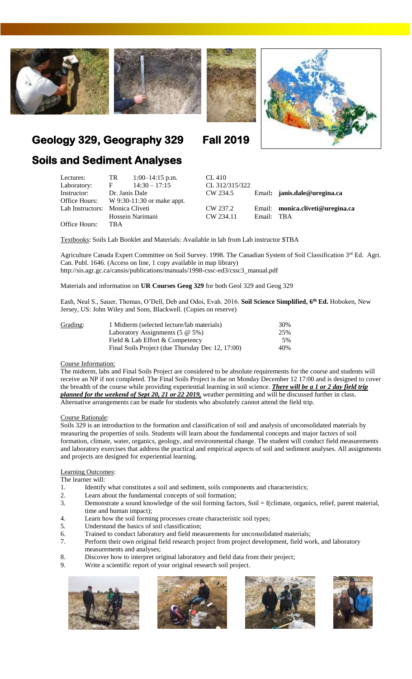







# **Geology 329, Geography 329 Fall 2019**

## **Soils and Sediment Analyses**

| Lectures:<br>Laboratory:        | TR TR<br>E                                | $1:00-14:15$ p.m.<br>$14:30 - 17:15$ |  | CL 410<br>CL 312/315/322 |            |                                  |
|---------------------------------|-------------------------------------------|--------------------------------------|--|--------------------------|------------|----------------------------------|
| Instructor:                     | Dr. Janis Dale                            |                                      |  | CW 234.5                 |            | Email: janis.dale@uregina.ca     |
|                                 | Office Hours: $W9:30-11:30$ or make appt. |                                      |  |                          |            |                                  |
| Lab Instructors: Monica Cliveti |                                           |                                      |  | CW 237.2                 |            | Email: monica.cliveti@uregina.ca |
|                                 |                                           | Hossein Narimani                     |  | CW 234.11                | Email: TBA |                                  |
| Office Hours:                   | TBA                                       |                                      |  |                          |            |                                  |

Textbooks: Soils Lab Booklet and Materials: Available in lab from Lab instructor \$TBA

Agriculture Canada Expert Committee on Soil Survey. 1998. The Canadian System of Soil Classification 3rd Ed. Agri. Can. Publ. 1646. (Access on line, 1 copy available in map library) [http://sis.agr.gc.ca/cansis/publications/manuals/1998-cssc-ed3/cssc3\\_manual.pdf](http://sis.agr.gc.ca/cansis/publications/manuals/1998-cssc-ed3/cssc3_manual.pdf)

Materials and information on **UR Courses Geog 329** for both Geol 329 and Geog 329

Eash, Neal S., Sauer, Thomas, O'Dell, Deb and Odoi, Evah. 2016. **Soil Science Simplified, 6th Ed.** Hoboken, New Jersey, US: John Wiley and Sons, Blackwell. (Copies on reserve)

| Grading: | 1 Midterm (selected lecture/lab materials)       | 30% |
|----------|--------------------------------------------------|-----|
|          | Laboratory Assignments $(5 \otimes 5\%)$         | 25% |
|          | Field & Lab Effort & Competency                  | 5%  |
|          | Final Soils Project (due Thursday Dec 12, 17:00) | 40% |

## Course Information:

The midterm, labs and Final Soils Project are considered to be absolute requirements for the course and students will receive an NP if not completed. The Final Soils Project is due on Monday December 12 17:00 and is designed to cover the breadth of the course while providing experiential learning in soil science. *There will be a 1 or 2 day field trip planned for the weekend of Sept 20, 21 or 22 2019,* weather permitting and will be discussed further in class. Alternative arrangements can be made for students who absolutely cannot attend the field trip.

## Course Rationale:

Soils 329 is an introduction to the formation and classification of soil and analysis of unconsolidated materials by measuring the properties of soils. Students will learn about the fundamental concepts and major factors of soil formation, climate, water, organics, geology, and environmental change. The student will conduct field measurements and laboratory exercises that address the practical and empirical aspects of soil and sediment analyses. All assignments and projects are designed for experiential learning.

## Learning Outcomes:

The learner will:

- 1. Identify what constitutes a soil and sediment, soils components and characteristics;
- 2. Learn about the fundamental concepts of soil formation;
- 3. Demonstrate a sound knowledge of the soil forming factors, Soil = f(climate, organics, relief, parent material, time and human impact);
- 4. Learn how the soil forming processes create characteristic soil types;
- 5. Understand the basics of soil classification;
- 6. Trained to conduct laboratory and field measurements for unconsolidated materials;
- 7. Perform their own original field research project from project development, field work, and laboratory measurements and analyses;
- 8. Discover how to interpret original laboratory and field data from their project;
- 9. Write a scientific report of your original research soil project.